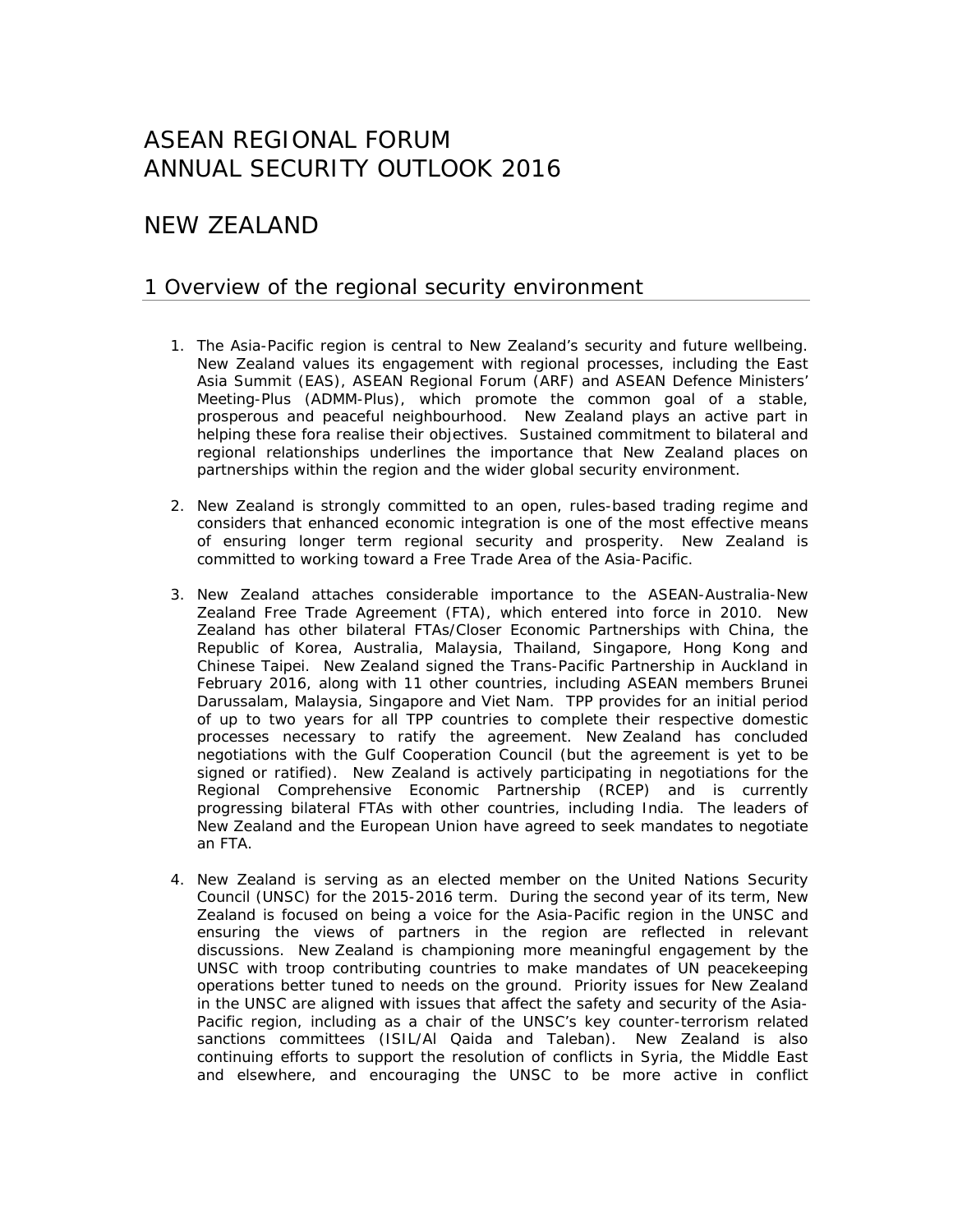# ASEAN REGIONAL FORUM ANNUAL SECURITY OUTLOOK 2016

# NEW ZEALAND

## 1 Overview of the regional security environment

- 1. The Asia-Pacific region is central to New Zealand's security and future wellbeing. New Zealand values its engagement with regional processes, including the East Asia Summit (EAS), ASEAN Regional Forum (ARF) and ASEAN Defence Ministers' Meeting-Plus (ADMM-Plus), which promote the common goal of a stable, prosperous and peaceful neighbourhood. New Zealand plays an active part in helping these fora realise their objectives. Sustained commitment to bilateral and regional relationships underlines the importance that New Zealand places on partnerships within the region and the wider global security environment.
- 2. New Zealand is strongly committed to an open, rules-based trading regime and considers that enhanced economic integration is one of the most effective means of ensuring longer term regional security and prosperity. New Zealand is committed to working toward a Free Trade Area of the Asia-Pacific.
- 3. New Zealand attaches considerable importance to the ASEAN-Australia-New Zealand Free Trade Agreement (FTA), which entered into force in 2010. New Zealand has other bilateral FTAs/Closer Economic Partnerships with China, the Republic of Korea, Australia, Malaysia, Thailand, Singapore, Hong Kong and Chinese Taipei. New Zealand signed the Trans-Pacific Partnership in Auckland in February 2016, along with 11 other countries, including ASEAN members Brunei Darussalam, Malaysia, Singapore and Viet Nam. TPP provides for an initial period of up to two years for all TPP countries to complete their respective domestic processes necessary to ratify the agreement. New Zealand has concluded negotiations with the Gulf Cooperation Council (but the agreement is yet to be signed or ratified). New Zealand is actively participating in negotiations for the Regional Comprehensive Economic Partnership (RCEP) and is currently progressing bilateral FTAs with other countries, including India. The leaders of New Zealand and the European Union have agreed to seek mandates to negotiate an FTA.
- 4. New Zealand is serving as an elected member on the United Nations Security Council (UNSC) for the 2015-2016 term. During the second year of its term, New Zealand is focused on being a voice for the Asia-Pacific region in the UNSC and ensuring the views of partners in the region are reflected in relevant discussions. New Zealand is championing more meaningful engagement by the UNSC with troop contributing countries to make mandates of UN peacekeeping operations better tuned to needs on the ground. Priority issues for New Zealand in the UNSC are aligned with issues that affect the safety and security of the Asia-Pacific region, including as a chair of the UNSC's key counter-terrorism related sanctions committees (ISIL/Al Qaida and Taleban). New Zealand is also continuing efforts to support the resolution of conflicts in Syria, the Middle East and elsewhere, and encouraging the UNSC to be more active in conflict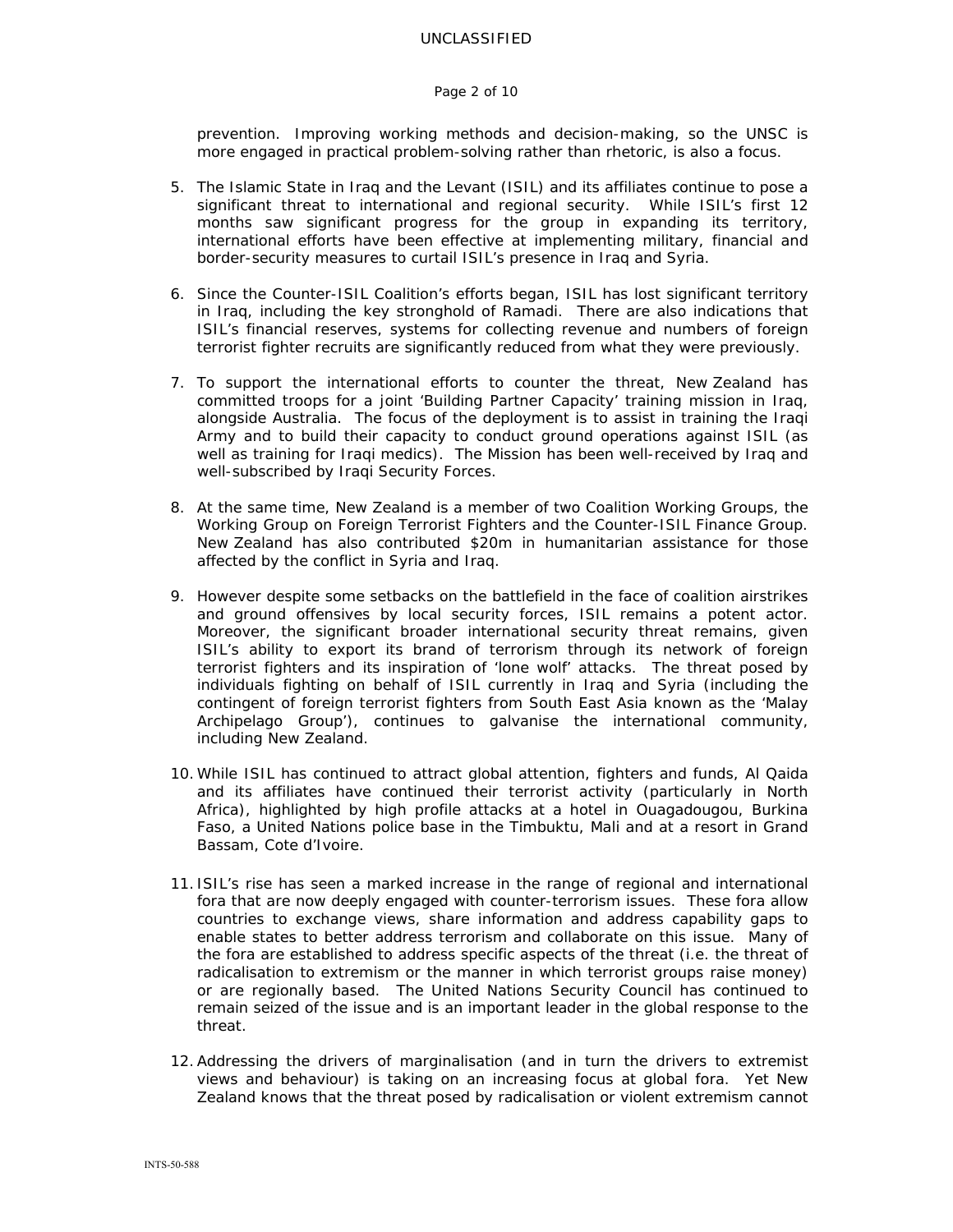#### Page 2 of 10

prevention. Improving working methods and decision-making, so the UNSC is more engaged in practical problem-solving rather than rhetoric, is also a focus.

- 5. The Islamic State in Iraq and the Levant (ISIL) and its affiliates continue to pose a significant threat to international and regional security. While ISIL's first 12 months saw significant progress for the group in expanding its territory, international efforts have been effective at implementing military, financial and border-security measures to curtail ISIL's presence in Iraq and Syria.
- 6. Since the Counter-ISIL Coalition's efforts began, ISIL has lost significant territory in Iraq, including the key stronghold of Ramadi. There are also indications that ISIL's financial reserves, systems for collecting revenue and numbers of foreign terrorist fighter recruits are significantly reduced from what they were previously.
- 7. To support the international efforts to counter the threat, New Zealand has committed troops for a joint 'Building Partner Capacity' training mission in Iraq, alongside Australia. The focus of the deployment is to assist in training the Iraqi Army and to build their capacity to conduct ground operations against ISIL (as well as training for Iraqi medics). The Mission has been well-received by Iraq and well-subscribed by Iraqi Security Forces.
- 8. At the same time, New Zealand is a member of two Coalition Working Groups, the Working Group on Foreign Terrorist Fighters and the Counter-ISIL Finance Group. New Zealand has also contributed \$20m in humanitarian assistance for those affected by the conflict in Syria and Iraq.
- 9. However despite some setbacks on the battlefield in the face of coalition airstrikes and ground offensives by local security forces, ISIL remains a potent actor. Moreover, the significant broader international security threat remains, given ISIL's ability to export its brand of terrorism through its network of foreign terrorist fighters and its inspiration of 'lone wolf' attacks. The threat posed by individuals fighting on behalf of ISIL currently in Iraq and Syria (including the contingent of foreign terrorist fighters from South East Asia known as the 'Malay Archipelago Group'), continues to galvanise the international community, including New Zealand.
- 10.While ISIL has continued to attract global attention, fighters and funds, Al Qaida and its affiliates have continued their terrorist activity (particularly in North Africa), highlighted by high profile attacks at a hotel in Ouagadougou, Burkina Faso, a United Nations police base in the Timbuktu, Mali and at a resort in Grand Bassam, Cote d'Ivoire.
- 11. ISIL's rise has seen a marked increase in the range of regional and international fora that are now deeply engaged with counter-terrorism issues. These fora allow countries to exchange views, share information and address capability gaps to enable states to better address terrorism and collaborate on this issue. Many of the fora are established to address specific aspects of the threat (i.e. the threat of radicalisation to extremism or the manner in which terrorist groups raise money) or are regionally based. The United Nations Security Council has continued to remain seized of the issue and is an important leader in the global response to the threat.
- 12.Addressing the drivers of marginalisation (and in turn the drivers to extremist views and behaviour) is taking on an increasing focus at global fora. Yet New Zealand knows that the threat posed by radicalisation or violent extremism cannot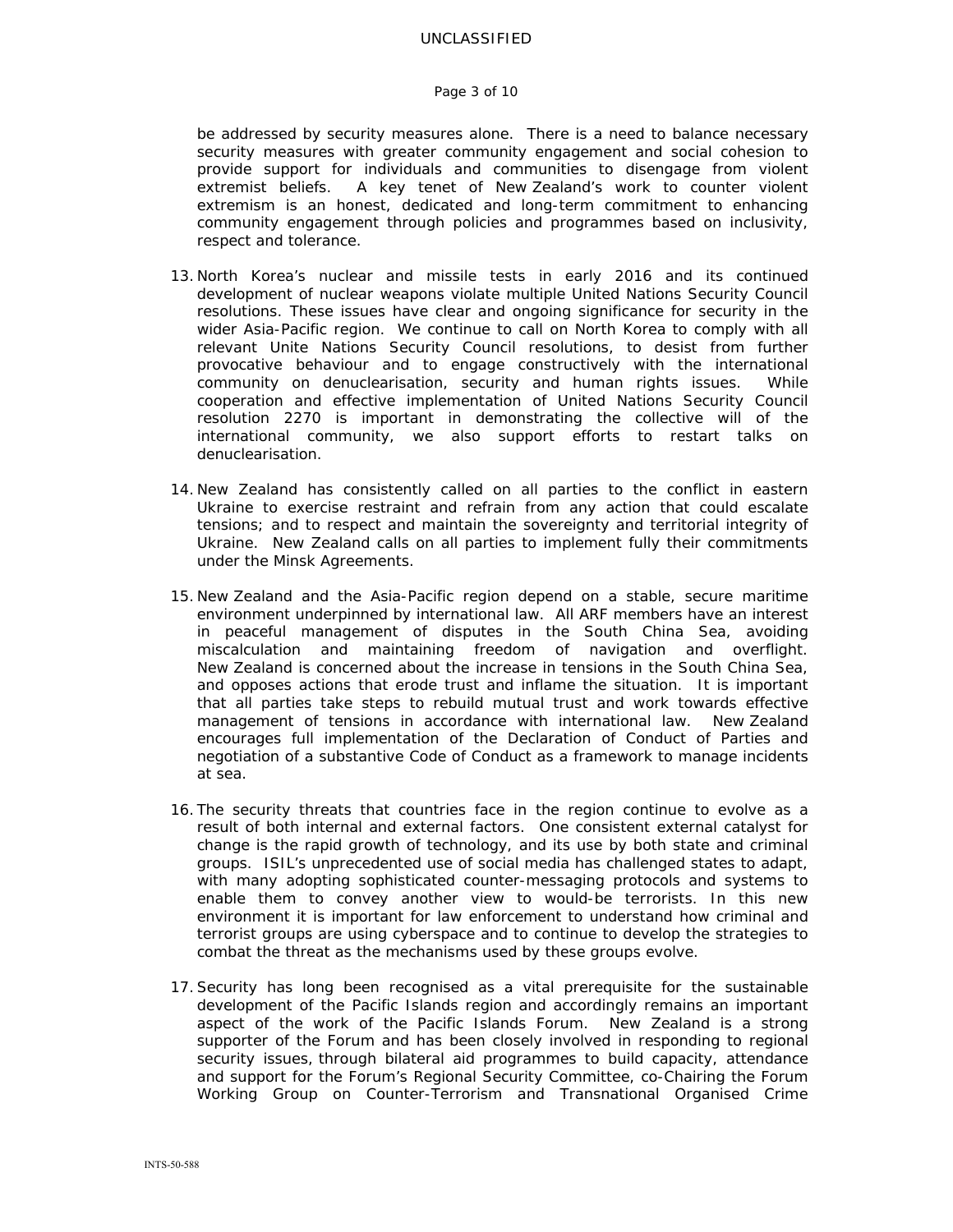#### Page 3 of 10

be addressed by security measures alone. There is a need to balance necessary security measures with greater community engagement and social cohesion to provide support for individuals and communities to disengage from violent extremist beliefs. A key tenet of New Zealand's work to counter violent extremism is an honest, dedicated and long-term commitment to enhancing community engagement through policies and programmes based on inclusivity, respect and tolerance.

- 13. North Korea's nuclear and missile tests in early 2016 and its continued development of nuclear weapons violate multiple United Nations Security Council resolutions. These issues have clear and ongoing significance for security in the wider Asia-Pacific region. We continue to call on North Korea to comply with all relevant Unite Nations Security Council resolutions, to desist from further provocative behaviour and to engage constructively with the international community on denuclearisation, security and human rights issues. While cooperation and effective implementation of United Nations Security Council resolution 2270 is important in demonstrating the collective will of the international community, we also support efforts to restart talks on denuclearisation.
- 14. New Zealand has consistently called on all parties to the conflict in eastern Ukraine to exercise restraint and refrain from any action that could escalate tensions; and to respect and maintain the sovereignty and territorial integrity of Ukraine. New Zealand calls on all parties to implement fully their commitments under the Minsk Agreements.
- 15. New Zealand and the Asia-Pacific region depend on a stable, secure maritime environment underpinned by international law. All ARF members have an interest in peaceful management of disputes in the South China Sea, avoiding miscalculation and maintaining freedom of navigation and overflight. New Zealand is concerned about the increase in tensions in the South China Sea, and opposes actions that erode trust and inflame the situation. It is important that all parties take steps to rebuild mutual trust and work towards effective management of tensions in accordance with international law. New Zealand encourages full implementation of the Declaration of Conduct of Parties and negotiation of a substantive Code of Conduct as a framework to manage incidents at sea.
- 16. The security threats that countries face in the region continue to evolve as a result of both internal and external factors. One consistent external catalyst for change is the rapid growth of technology, and its use by both state and criminal groups. ISIL's unprecedented use of social media has challenged states to adapt, with many adopting sophisticated counter-messaging protocols and systems to enable them to convey another view to would-be terrorists. In this new environment it is important for law enforcement to understand how criminal and terrorist groups are using cyberspace and to continue to develop the strategies to combat the threat as the mechanisms used by these groups evolve.
- 17.Security has long been recognised as a vital prerequisite for the sustainable development of the Pacific Islands region and accordingly remains an important aspect of the work of the Pacific Islands Forum. New Zealand is a strong supporter of the Forum and has been closely involved in responding to regional security issues, through bilateral aid programmes to build capacity, attendance and support for the Forum's Regional Security Committee, co-Chairing the Forum Working Group on Counter-Terrorism and Transnational Organised Crime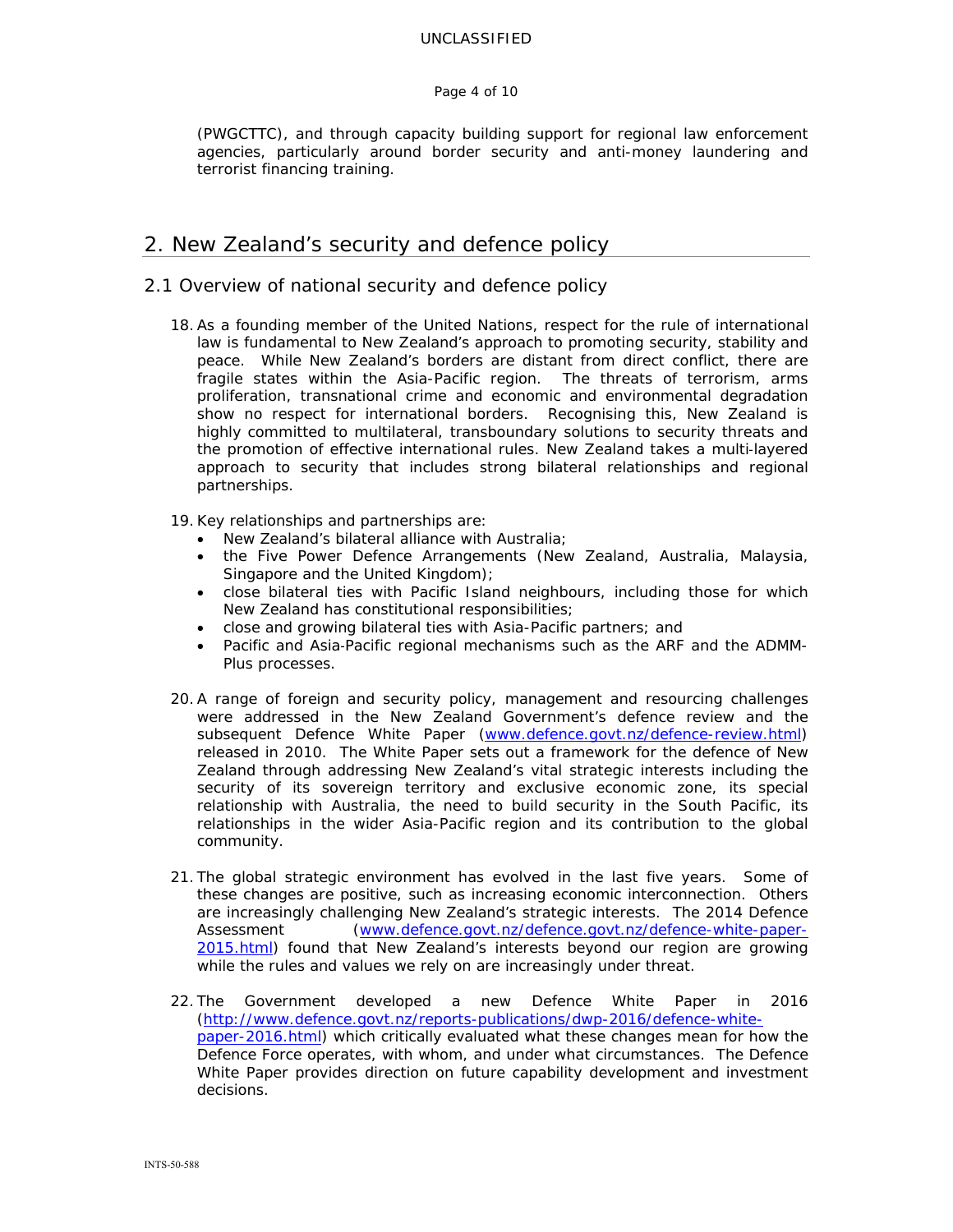#### Page 4 of 10

(PWGCTTC), and through capacity building support for regional law enforcement agencies, particularly around border security and anti-money laundering and terrorist financing training.

## 2. New Zealand's security and defence policy

## 2.1 Overview of national security and defence policy

- 18.As a founding member of the United Nations, respect for the rule of international law is fundamental to New Zealand's approach to promoting security, stability and peace. While New Zealand's borders are distant from direct conflict, there are fragile states within the Asia-Pacific region. The threats of terrorism, arms proliferation, transnational crime and economic and environmental degradation show no respect for international borders. Recognising this, New Zealand is highly committed to multilateral, transboundary solutions to security threats and the promotion of effective international rules. New Zealand takes a multi-layered approach to security that includes strong bilateral relationships and regional partnerships.
- 19.Key relationships and partnerships are:
	- New Zealand's bilateral alliance with Australia;
	- the Five Power Defence Arrangements (New Zealand, Australia, Malaysia, Singapore and the United Kingdom);
	- close bilateral ties with Pacific Island neighbours, including those for which New Zealand has constitutional responsibilities;
	- close and growing bilateral ties with Asia-Pacific partners; and
	- Pacific and Asia‐Pacific regional mechanisms such as the ARF and the ADMM-Plus processes.
- 20.A range of foreign and security policy, management and resourcing challenges were addressed in the New Zealand Government's defence review and the subsequent Defence White Paper (www.defence.govt.nz/defence-review.html) released in 2010. The White Paper sets out a framework for the defence of New Zealand through addressing New Zealand's vital strategic interests including the security of its sovereign territory and exclusive economic zone, its special relationship with Australia, the need to build security in the South Pacific, its relationships in the wider Asia-Pacific region and its contribution to the global community.
- 21. The global strategic environment has evolved in the last five years. Some of these changes are positive, such as increasing economic interconnection. Others are increasingly challenging New Zealand's strategic interests. The 2014 Defence Assessment (www.defence.govt.nz/defence.govt.nz/defence-white-paper-2015.html) found that New Zealand's interests beyond our region are growing while the rules and values we rely on are increasingly under threat.
- 22. The Government developed a new Defence White Paper in 2016 (http://www.defence.govt.nz/reports-publications/dwp-2016/defence-whitepaper-2016.html) which critically evaluated what these changes mean for how the Defence Force operates, with whom, and under what circumstances. The Defence White Paper provides direction on future capability development and investment decisions.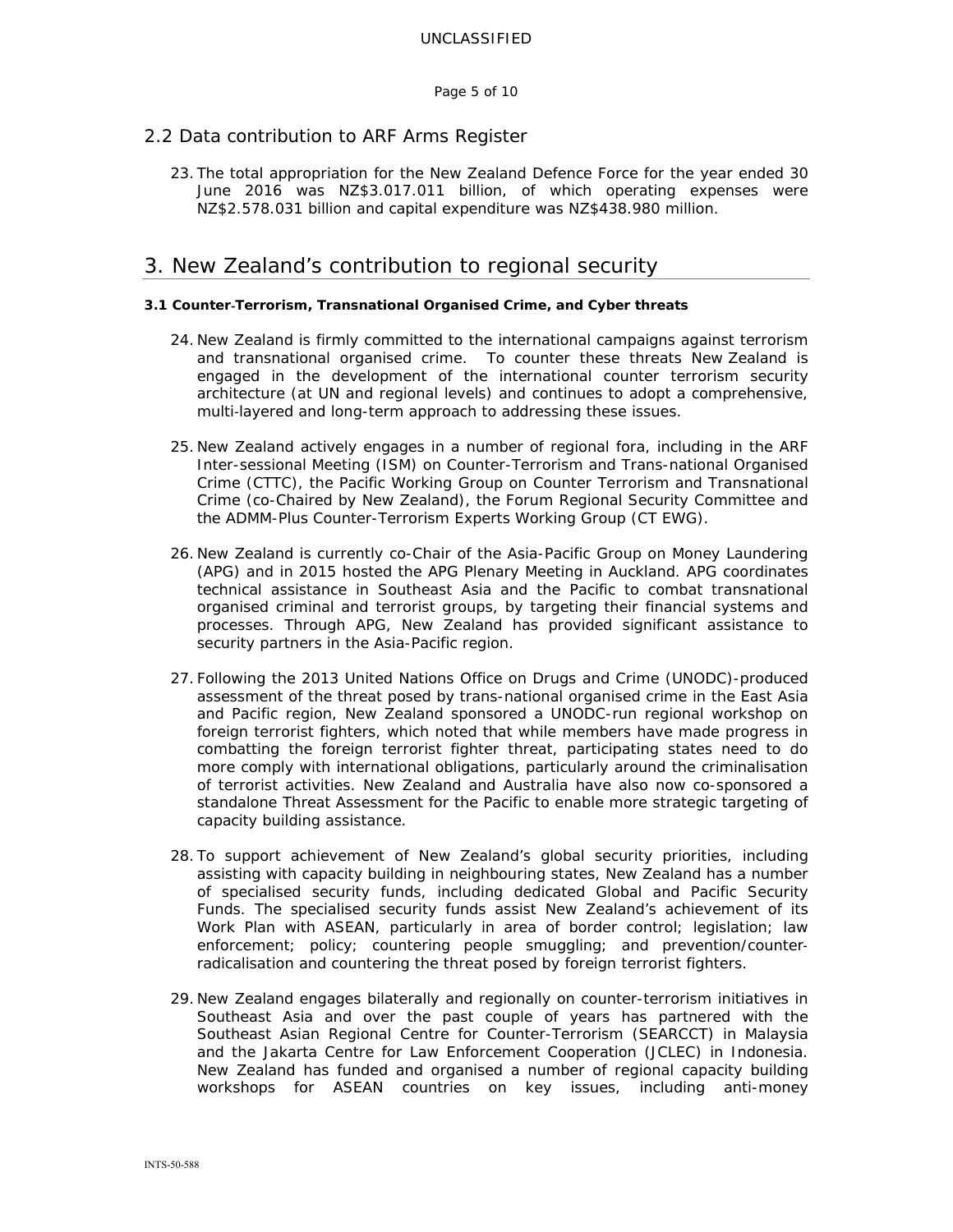Page 5 of 10

## 2.2 Data contribution to ARF Arms Register

23. The total appropriation for the New Zealand Defence Force for the year ended 30 June 2016 was NZ\$3.017.011 billion, of which operating expenses were NZ\$2.578.031 billion and capital expenditure was NZ\$438.980 million.

## 3. New Zealand's contribution to regional security

#### **3.1 Counter**‐**Terrorism, Transnational Organised Crime, and Cyber threats**

- 24. New Zealand is firmly committed to the international campaigns against terrorism and transnational organised crime. To counter these threats New Zealand is engaged in the development of the international counter terrorism security architecture (at UN and regional levels) and continues to adopt a comprehensive, multi‐layered and long-term approach to addressing these issues.
- 25. New Zealand actively engages in a number of regional fora, including in the ARF Inter-sessional Meeting (ISM) on Counter-Terrorism and Trans-national Organised Crime (CTTC), the Pacific Working Group on Counter Terrorism and Transnational Crime (co-Chaired by New Zealand), the Forum Regional Security Committee and the ADMM-Plus Counter-Terrorism Experts Working Group (CT EWG).
- 26. New Zealand is currently co-Chair of the Asia-Pacific Group on Money Laundering (APG) and in 2015 hosted the APG Plenary Meeting in Auckland. APG coordinates technical assistance in Southeast Asia and the Pacific to combat transnational organised criminal and terrorist groups, by targeting their financial systems and processes. Through APG, New Zealand has provided significant assistance to security partners in the Asia-Pacific region.
- 27. Following the 2013 United Nations Office on Drugs and Crime (UNODC)-produced assessment of the threat posed by trans-national organised crime in the East Asia and Pacific region, New Zealand sponsored a UNODC-run regional workshop on foreign terrorist fighters, which noted that while members have made progress in combatting the foreign terrorist fighter threat, participating states need to do more comply with international obligations, particularly around the criminalisation of terrorist activities. New Zealand and Australia have also now co-sponsored a standalone Threat Assessment for the Pacific to enable more strategic targeting of capacity building assistance.
- 28. To support achievement of New Zealand's global security priorities, including assisting with capacity building in neighbouring states, New Zealand has a number of specialised security funds, including dedicated Global and Pacific Security Funds. The specialised security funds assist New Zealand's achievement of its Work Plan with ASEAN, particularly in area of border control; legislation; law enforcement; policy; countering people smuggling; and prevention/counter‐ radicalisation and countering the threat posed by foreign terrorist fighters.
- 29. New Zealand engages bilaterally and regionally on counter-terrorism initiatives in Southeast Asia and over the past couple of years has partnered with the Southeast Asian Regional Centre for Counter-Terrorism (SEARCCT) in Malaysia and the Jakarta Centre for Law Enforcement Cooperation (JCLEC) in Indonesia. New Zealand has funded and organised a number of regional capacity building workshops for ASEAN countries on key issues, including anti-money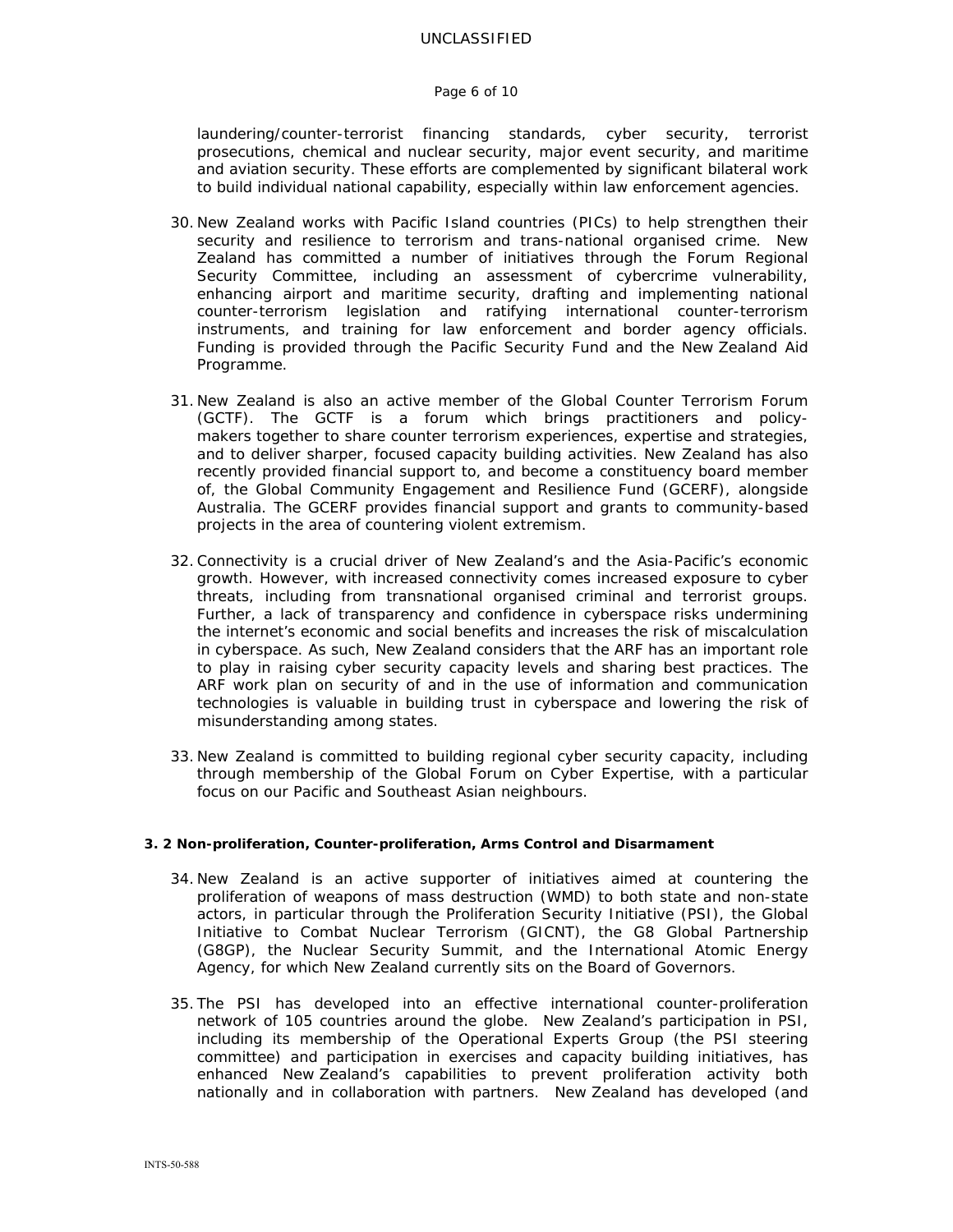#### Page 6 of 10

laundering/counter-terrorist financing standards, cyber security, terrorist prosecutions, chemical and nuclear security, major event security, and maritime and aviation security. These efforts are complemented by significant bilateral work to build individual national capability, especially within law enforcement agencies.

- 30. New Zealand works with Pacific Island countries (PICs) to help strengthen their security and resilience to terrorism and trans-national organised crime. New Zealand has committed a number of initiatives through the Forum Regional Security Committee, including an assessment of cybercrime vulnerability, enhancing airport and maritime security, drafting and implementing national counter-terrorism legislation and ratifying international counter-terrorism instruments, and training for law enforcement and border agency officials. Funding is provided through the Pacific Security Fund and the New Zealand Aid Programme.
- 31. New Zealand is also an active member of the Global Counter Terrorism Forum (GCTF). The GCTF is a forum which brings practitioners and policymakers together to share counter terrorism experiences, expertise and strategies, and to deliver sharper, focused capacity building activities. New Zealand has also recently provided financial support to, and become a constituency board member of, the Global Community Engagement and Resilience Fund (GCERF), alongside Australia. The GCERF provides financial support and grants to community-based projects in the area of countering violent extremism.
- 32.Connectivity is a crucial driver of New Zealand's and the Asia-Pacific's economic growth. However, with increased connectivity comes increased exposure to cyber threats, including from transnational organised criminal and terrorist groups. Further, a lack of transparency and confidence in cyberspace risks undermining the internet's economic and social benefits and increases the risk of miscalculation in cyberspace. As such, New Zealand considers that the ARF has an important role to play in raising cyber security capacity levels and sharing best practices. The ARF work plan on security of and in the use of information and communication technologies is valuable in building trust in cyberspace and lowering the risk of misunderstanding among states.
- 33. New Zealand is committed to building regional cyber security capacity, including through membership of the Global Forum on Cyber Expertise, with a particular focus on our Pacific and Southeast Asian neighbours.

#### **3. 2 Non-proliferation, Counter-proliferation, Arms Control and Disarmament**

- 34. New Zealand is an active supporter of initiatives aimed at countering the proliferation of weapons of mass destruction (WMD) to both state and non-state actors, in particular through the Proliferation Security Initiative (PSI), the Global Initiative to Combat Nuclear Terrorism (GICNT), the G8 Global Partnership (G8GP), the Nuclear Security Summit, and the International Atomic Energy Agency, for which New Zealand currently sits on the Board of Governors.
- 35. The PSI has developed into an effective international counter-proliferation network of 105 countries around the globe. New Zealand's participation in PSI, including its membership of the Operational Experts Group (the PSI steering committee) and participation in exercises and capacity building initiatives, has enhanced New Zealand's capabilities to prevent proliferation activity both nationally and in collaboration with partners. New Zealand has developed (and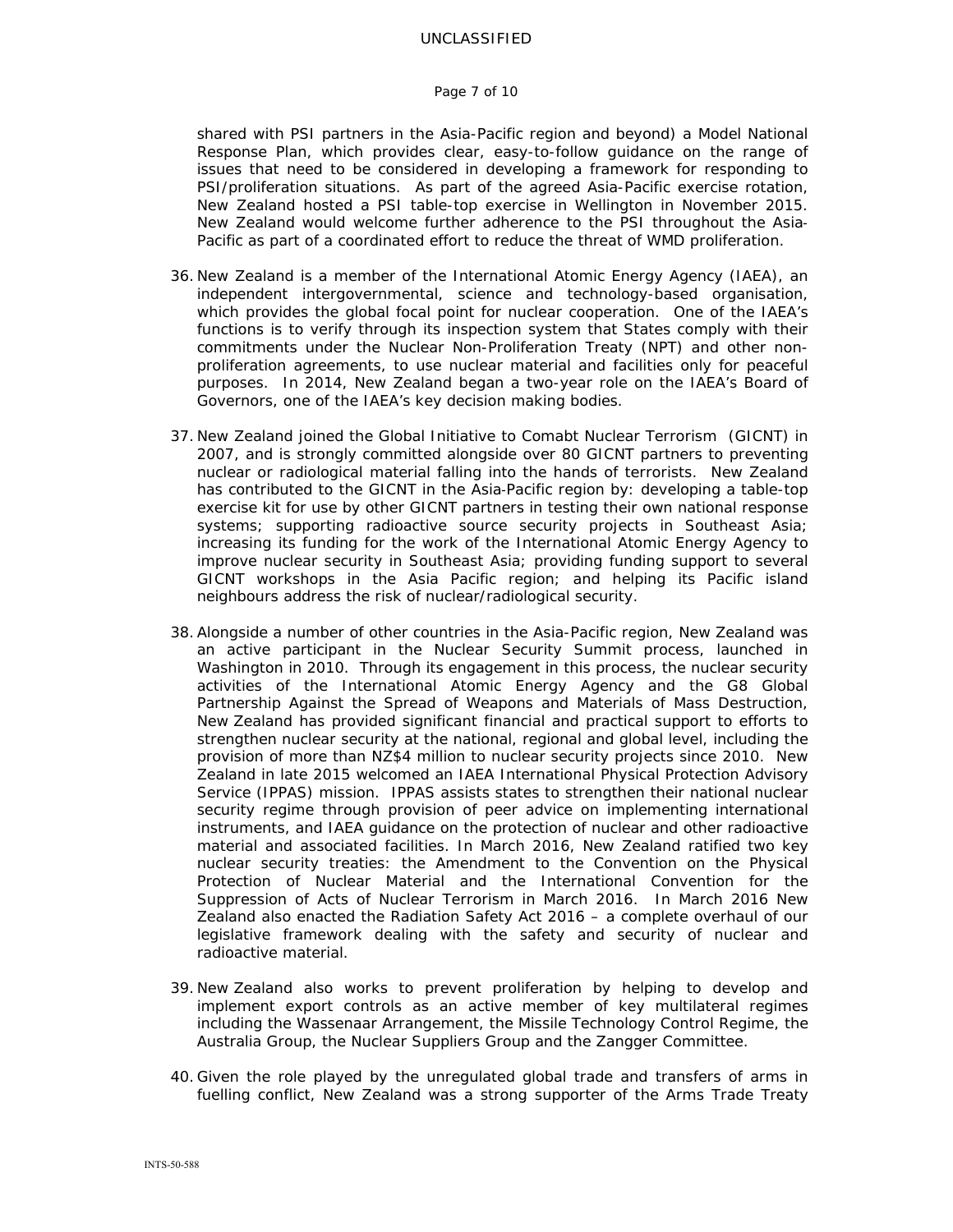#### Page 7 of 10

shared with PSI partners in the Asia-Pacific region and beyond) a Model National Response Plan, which provides clear, easy-to-follow guidance on the range of issues that need to be considered in developing a framework for responding to PSI/proliferation situations. As part of the agreed Asia-Pacific exercise rotation, New Zealand hosted a PSI table-top exercise in Wellington in November 2015. New Zealand would welcome further adherence to the PSI throughout the Asia‐ Pacific as part of a coordinated effort to reduce the threat of WMD proliferation.

- 36. New Zealand is a member of the International Atomic Energy Agency (IAEA), an independent intergovernmental, science and technology-based organisation, which provides the global focal point for nuclear cooperation. One of the IAEA's functions is to verify through its inspection system that States comply with their commitments under the Nuclear Non-Proliferation Treaty (NPT) and other nonproliferation agreements, to use nuclear material and facilities only for peaceful purposes. In 2014, New Zealand began a two-year role on the IAEA's Board of Governors, one of the IAEA's key decision making bodies.
- 37. New Zealand joined the Global Initiative to Comabt Nuclear Terrorism (GICNT) in 2007, and is strongly committed alongside over 80 GICNT partners to preventing nuclear or radiological material falling into the hands of terrorists. New Zealand has contributed to the GICNT in the Asia-Pacific region by: developing a table-top exercise kit for use by other GICNT partners in testing their own national response systems; supporting radioactive source security projects in Southeast Asia; increasing its funding for the work of the International Atomic Energy Agency to improve nuclear security in Southeast Asia; providing funding support to several GICNT workshops in the Asia Pacific region; and helping its Pacific island neighbours address the risk of nuclear/radiological security.
- 38.Alongside a number of other countries in the Asia-Pacific region, New Zealand was an active participant in the Nuclear Security Summit process, launched in Washington in 2010. Through its engagement in this process, the nuclear security activities of the International Atomic Energy Agency and the G8 Global Partnership Against the Spread of Weapons and Materials of Mass Destruction, New Zealand has provided significant financial and practical support to efforts to strengthen nuclear security at the national, regional and global level, including the provision of more than NZ\$4 million to nuclear security projects since 2010. New Zealand in late 2015 welcomed an IAEA International Physical Protection Advisory Service (IPPAS) mission. IPPAS assists states to strengthen their national nuclear security regime through provision of peer advice on implementing international instruments, and IAEA guidance on the protection of nuclear and other radioactive material and associated facilities. In March 2016, New Zealand ratified two key nuclear security treaties: the Amendment to the Convention on the Physical Protection of Nuclear Material and the International Convention for the Suppression of Acts of Nuclear Terrorism in March 2016. In March 2016 New Zealand also enacted the Radiation Safety Act 2016 – a complete overhaul of our legislative framework dealing with the safety and security of nuclear and radioactive material.
- 39. New Zealand also works to prevent proliferation by helping to develop and implement export controls as an active member of key multilateral regimes including the Wassenaar Arrangement, the Missile Technology Control Regime, the Australia Group, the Nuclear Suppliers Group and the Zangger Committee.
- 40. Given the role played by the unregulated global trade and transfers of arms in fuelling conflict, New Zealand was a strong supporter of the Arms Trade Treaty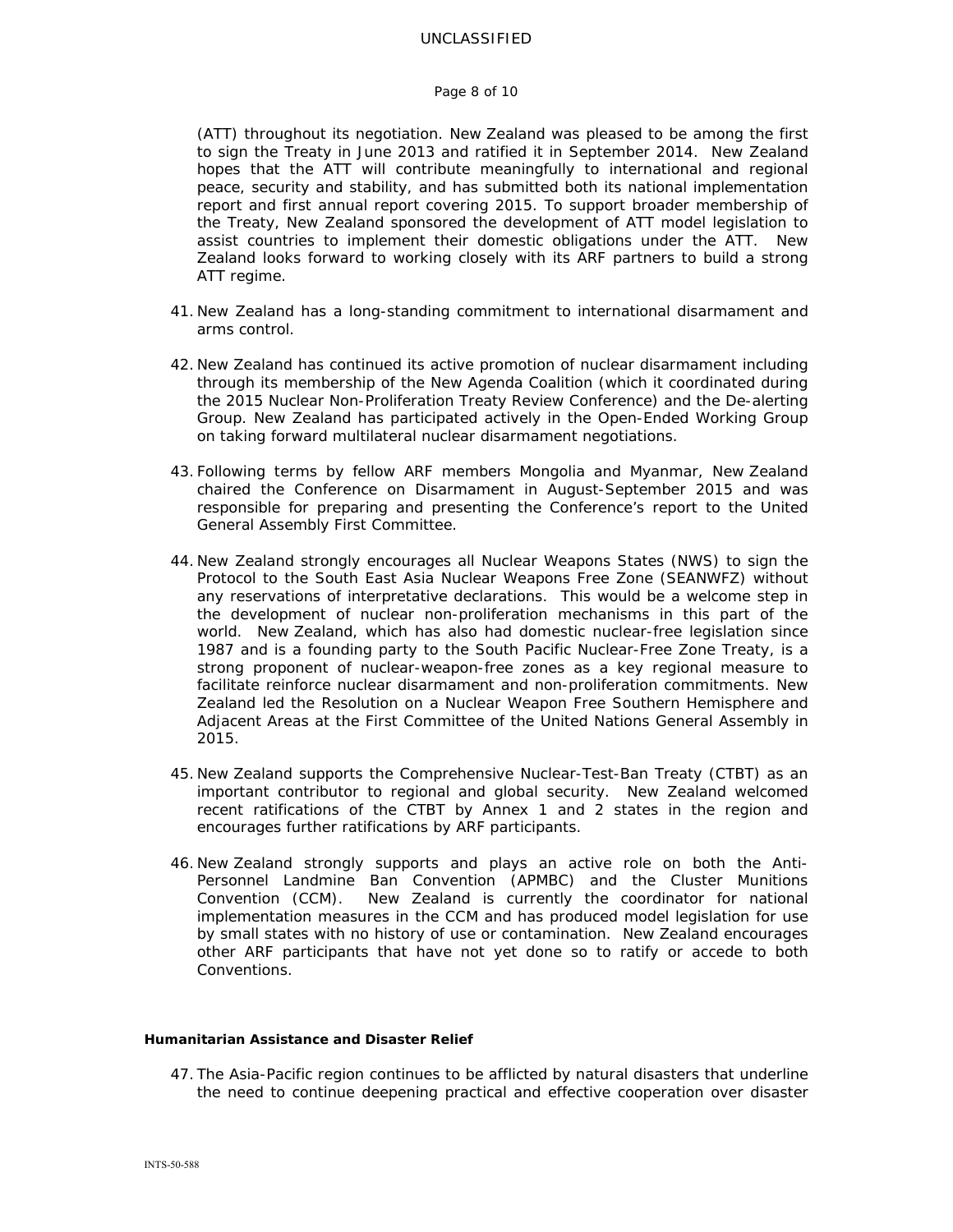#### Page 8 of 10

(ATT) throughout its negotiation. New Zealand was pleased to be among the first to sign the Treaty in June 2013 and ratified it in September 2014. New Zealand hopes that the ATT will contribute meaningfully to international and regional peace, security and stability, and has submitted both its national implementation report and first annual report covering 2015. To support broader membership of the Treaty, New Zealand sponsored the development of ATT model legislation to assist countries to implement their domestic obligations under the ATT. New Zealand looks forward to working closely with its ARF partners to build a strong ATT regime.

- 41. New Zealand has a long-standing commitment to international disarmament and arms control.
- 42. New Zealand has continued its active promotion of nuclear disarmament including through its membership of the New Agenda Coalition (which it coordinated during the 2015 Nuclear Non-Proliferation Treaty Review Conference) and the De-alerting Group. New Zealand has participated actively in the Open-Ended Working Group on taking forward multilateral nuclear disarmament negotiations.
- 43. Following terms by fellow ARF members Mongolia and Myanmar, New Zealand chaired the Conference on Disarmament in August-September 2015 and was responsible for preparing and presenting the Conference's report to the United General Assembly First Committee.
- 44. New Zealand strongly encourages all Nuclear Weapons States (NWS) to sign the Protocol to the South East Asia Nuclear Weapons Free Zone (SEANWFZ) without any reservations of interpretative declarations. This would be a welcome step in the development of nuclear non-proliferation mechanisms in this part of the world. New Zealand, which has also had domestic nuclear-free legislation since 1987 and is a founding party to the South Pacific Nuclear-Free Zone Treaty, is a strong proponent of nuclear-weapon-free zones as a key regional measure to facilitate reinforce nuclear disarmament and non-proliferation commitments. New Zealand led the Resolution on a Nuclear Weapon Free Southern Hemisphere and Adjacent Areas at the First Committee of the United Nations General Assembly in 2015.
- 45. New Zealand supports the Comprehensive Nuclear-Test-Ban Treaty (CTBT) as an important contributor to regional and global security. New Zealand welcomed recent ratifications of the CTBT by Annex 1 and 2 states in the region and encourages further ratifications by ARF participants.
- 46. New Zealand strongly supports and plays an active role on both the Anti-Personnel Landmine Ban Convention (APMBC) and the Cluster Munitions Convention (CCM). New Zealand is currently the coordinator for national implementation measures in the CCM and has produced model legislation for use by small states with no history of use or contamination. New Zealand encourages other ARF participants that have not yet done so to ratify or accede to both Conventions.

#### **Humanitarian Assistance and Disaster Relief**

47. The Asia-Pacific region continues to be afflicted by natural disasters that underline the need to continue deepening practical and effective cooperation over disaster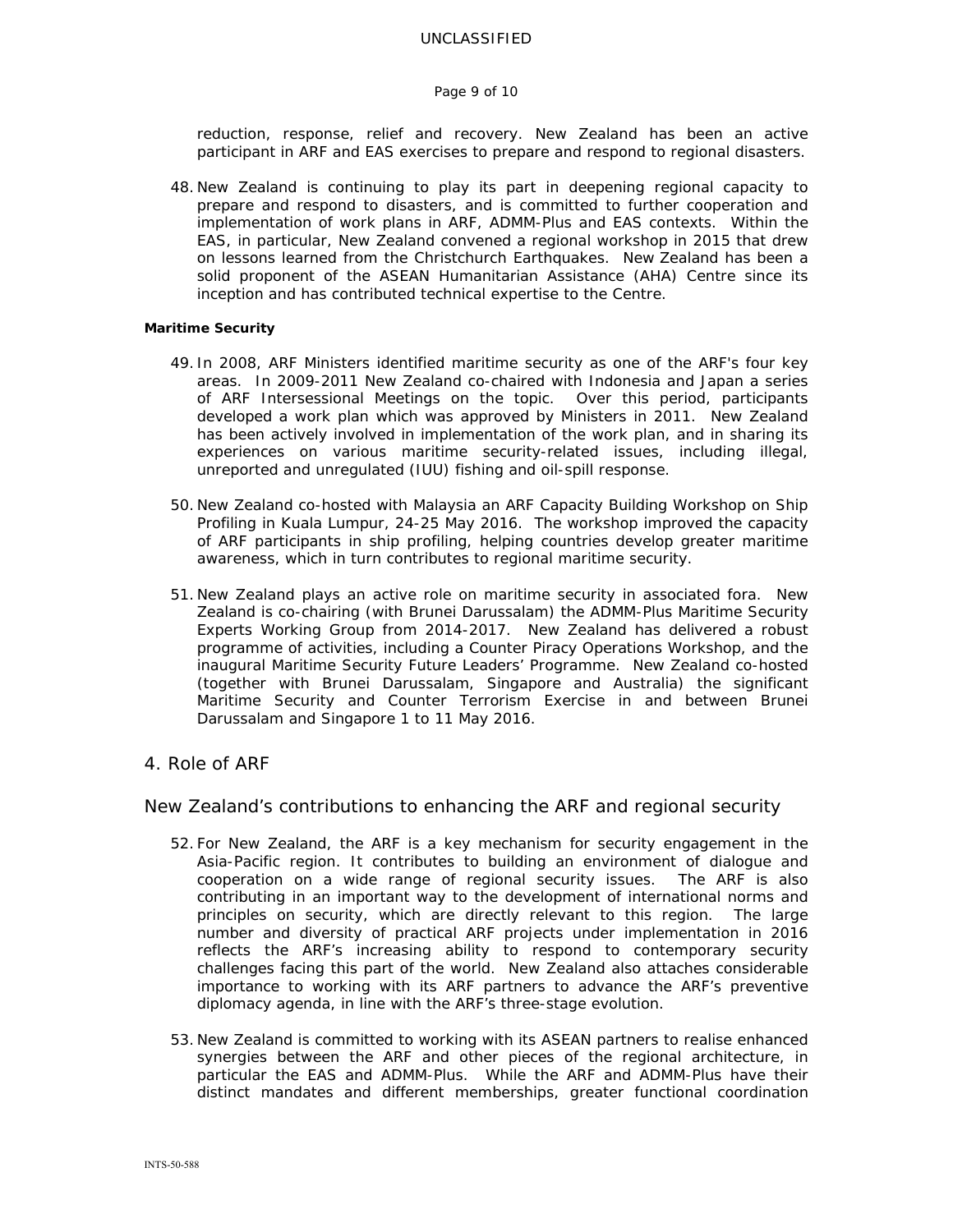#### Page 9 of 10

reduction, response, relief and recovery. New Zealand has been an active participant in ARF and EAS exercises to prepare and respond to regional disasters.

48. New Zealand is continuing to play its part in deepening regional capacity to prepare and respond to disasters, and is committed to further cooperation and implementation of work plans in ARF, ADMM-Plus and EAS contexts. Within the EAS, in particular, New Zealand convened a regional workshop in 2015 that drew on lessons learned from the Christchurch Earthquakes. New Zealand has been a solid proponent of the ASEAN Humanitarian Assistance (AHA) Centre since its inception and has contributed technical expertise to the Centre.

#### **Maritime Security**

- 49. In 2008, ARF Ministers identified maritime security as one of the ARF's four key areas. In 2009-2011 New Zealand co-chaired with Indonesia and Japan a series of ARF Intersessional Meetings on the topic. Over this period, participants developed a work plan which was approved by Ministers in 2011. New Zealand has been actively involved in implementation of the work plan, and in sharing its experiences on various maritime security-related issues, including illegal, unreported and unregulated (IUU) fishing and oil-spill response.
- 50. New Zealand co-hosted with Malaysia an ARF Capacity Building Workshop on Ship Profiling in Kuala Lumpur, 24-25 May 2016. The workshop improved the capacity of ARF participants in ship profiling, helping countries develop greater maritime awareness, which in turn contributes to regional maritime security.
- 51. New Zealand plays an active role on maritime security in associated fora. New Zealand is co-chairing (with Brunei Darussalam) the ADMM-Plus Maritime Security Experts Working Group from 2014-2017. New Zealand has delivered a robust programme of activities, including a Counter Piracy Operations Workshop, and the inaugural Maritime Security Future Leaders' Programme. New Zealand co-hosted (together with Brunei Darussalam, Singapore and Australia) the significant Maritime Security and Counter Terrorism Exercise in and between Brunei Darussalam and Singapore 1 to 11 May 2016.
- 4. Role of ARF

## New Zealand's contributions to enhancing the ARF and regional security

- 52. For New Zealand, the ARF is a key mechanism for security engagement in the Asia-Pacific region. It contributes to building an environment of dialogue and cooperation on a wide range of regional security issues. The ARF is also contributing in an important way to the development of international norms and principles on security, which are directly relevant to this region. The large number and diversity of practical ARF projects under implementation in 2016 reflects the ARF's increasing ability to respond to contemporary security challenges facing this part of the world. New Zealand also attaches considerable importance to working with its ARF partners to advance the ARF's preventive diplomacy agenda, in line with the ARF's three-stage evolution.
- 53. New Zealand is committed to working with its ASEAN partners to realise enhanced synergies between the ARF and other pieces of the regional architecture, in particular the EAS and ADMM-Plus. While the ARF and ADMM-Plus have their distinct mandates and different memberships, greater functional coordination